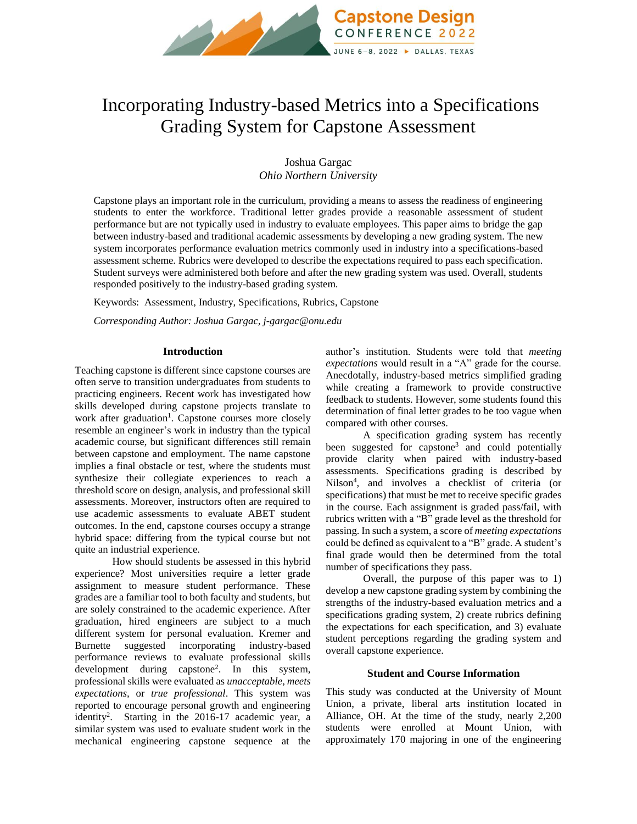

# Incorporating Industry-based Metrics into a Specifications Grading System for Capstone Assessment

Joshua Gargac *Ohio Northern University*

Capstone plays an important role in the curriculum, providing a means to assess the readiness of engineering students to enter the workforce. Traditional letter grades provide a reasonable assessment of student performance but are not typically used in industry to evaluate employees. This paper aims to bridge the gap between industry-based and traditional academic assessments by developing a new grading system. The new system incorporates performance evaluation metrics commonly used in industry into a specifications-based assessment scheme. Rubrics were developed to describe the expectations required to pass each specification. Student surveys were administered both before and after the new grading system was used. Overall, students responded positively to the industry-based grading system.

Keywords:Assessment, Industry, Specifications, Rubrics, Capstone

*Corresponding Author: Joshua Gargac, j-gargac@onu.edu*

#### **Introduction**

Teaching capstone is different since capstone courses are often serve to transition undergraduates from students to practicing engineers. Recent work has investigated how skills developed during capstone projects translate to work after graduation<sup>1</sup>. Capstone courses more closely resemble an engineer's work in industry than the typical academic course, but significant differences still remain between capstone and employment. The name capstone implies a final obstacle or test, where the students must synthesize their collegiate experiences to reach a threshold score on design, analysis, and professional skill assessments. Moreover, instructors often are required to use academic assessments to evaluate ABET student outcomes. In the end, capstone courses occupy a strange hybrid space: differing from the typical course but not quite an industrial experience.

How should students be assessed in this hybrid experience? Most universities require a letter grade assignment to measure student performance. These grades are a familiar tool to both faculty and students, but are solely constrained to the academic experience. After graduation, hired engineers are subject to a much different system for personal evaluation. Kremer and Burnette suggested incorporating industry-based performance reviews to evaluate professional skills development during capstone<sup>2</sup> . In this system, professional skills were evaluated as *unacceptable, meets expectations,* or *true professional*. This system was reported to encourage personal growth and engineering identity<sup>2</sup>. Starting in the 2016-17 academic year, a similar system was used to evaluate student work in the mechanical engineering capstone sequence at the

author's institution. Students were told that *meeting expectations* would result in a "A" grade for the course. Anecdotally, industry-based metrics simplified grading while creating a framework to provide constructive feedback to students. However, some students found this determination of final letter grades to be too vague when compared with other courses.

A specification grading system has recently been suggested for capstone<sup>3</sup> and could potentially provide clarity when paired with industry-based assessments. Specifications grading is described by Nilson 4 , and involves a checklist of criteria (or specifications) that must be met to receive specific grades in the course. Each assignment is graded pass/fail, with rubrics written with a "B" grade level as the threshold for passing. In such a system, a score of *meeting expectations*  could be defined as equivalent to a "B" grade. A student's final grade would then be determined from the total number of specifications they pass.

Overall, the purpose of this paper was to 1) develop a new capstone grading system by combining the strengths of the industry-based evaluation metrics and a specifications grading system, 2) create rubrics defining the expectations for each specification, and 3) evaluate student perceptions regarding the grading system and overall capstone experience.

#### **Student and Course Information**

This study was conducted at the University of Mount Union, a private, liberal arts institution located in Alliance, OH. At the time of the study, nearly 2,200 students were enrolled at Mount Union, with approximately 170 majoring in one of the engineering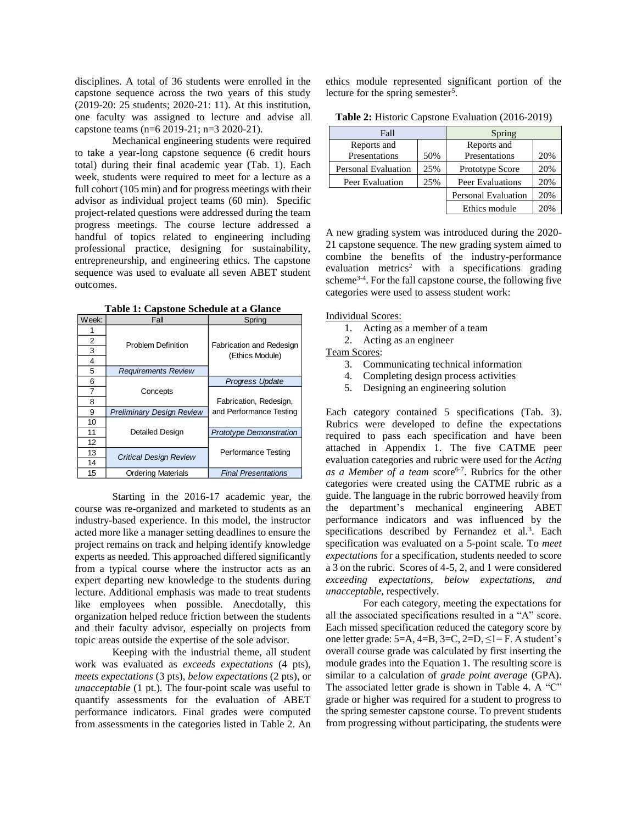disciplines. A total of 36 students were enrolled in the capstone sequence across the two years of this study (2019-20: 25 students; 2020-21: 11). At this institution, one faculty was assigned to lecture and advise all capstone teams (n=6 2019-21; n=3 2020-21).

Mechanical engineering students were required to take a year-long capstone sequence (6 credit hours total) during their final academic year (Tab. 1). Each week, students were required to meet for a lecture as a full cohort (105 min) and for progress meetings with their advisor as individual project teams (60 min). Specific project-related questions were addressed during the team progress meetings. The course lecture addressed a handful of topics related to engineering including professional practice, designing for sustainability, entrepreneurship, and engineering ethics. The capstone sequence was used to evaluate all seven ABET student outcomes.

**Table 1: Capstone Schedule at a Glance**

| Week: | Fall                             | Spring                         |
|-------|----------------------------------|--------------------------------|
|       |                                  |                                |
| 2     | <b>Problem Definition</b>        | Fabrication and Redesign       |
| 3     |                                  | (Ethics Module)                |
| 4     |                                  |                                |
| 5     | <b>Requirements Review</b>       |                                |
| 6     |                                  | <b>Progress Update</b>         |
| 7     | Concepts                         |                                |
| 8     |                                  | Fabrication, Redesign,         |
| 9     | <b>Preliminary Design Review</b> | and Performance Testing        |
| 10    |                                  |                                |
| 11    | Detailed Design                  | <b>Prototype Demonstration</b> |
| 12    |                                  |                                |
| 13    | <b>Critical Design Review</b>    | Performance Testing            |
| 14    |                                  |                                |
| 15    | <b>Ordering Materials</b>        | <b>Final Presentations</b>     |

Starting in the 2016-17 academic year, the course was re-organized and marketed to students as an industry-based experience. In this model, the instructor acted more like a manager setting deadlines to ensure the project remains on track and helping identify knowledge experts as needed. This approached differed significantly from a typical course where the instructor acts as an expert departing new knowledge to the students during lecture. Additional emphasis was made to treat students like employees when possible. Anecdotally, this organization helped reduce friction between the students and their faculty advisor, especially on projects from topic areas outside the expertise of the sole advisor.

Keeping with the industrial theme, all student work was evaluated as *exceeds expectations* (4 pts), *meets expectations* (3 pts), *below expectations* (2 pts), or *unacceptable* (1 pt.). The four-point scale was useful to quantify assessments for the evaluation of ABET performance indicators. Final grades were computed from assessments in the categories listed in Table 2. An ethics module represented significant portion of the lecture for the spring semester<sup>5</sup>.

|  |  |  | Table 2: Historic Capstone Evaluation (2016-2019) |  |  |
|--|--|--|---------------------------------------------------|--|--|
|--|--|--|---------------------------------------------------|--|--|

| Fall                       |     | Spring                     |     |  |
|----------------------------|-----|----------------------------|-----|--|
| Reports and                |     | Reports and                |     |  |
| Presentations              | 50% | Presentations              | 20% |  |
| <b>Personal Evaluation</b> | 25% | Prototype Score            | 20% |  |
| 25%<br>Peer Evaluation     |     | Peer Evaluations           | 20% |  |
|                            |     | <b>Personal Evaluation</b> | 20% |  |
|                            |     | Ethics module              | 20% |  |

A new grading system was introduced during the 2020- 21 capstone sequence. The new grading system aimed to combine the benefits of the industry-performance evaluation metrics<sup>2</sup> with a specifications grading scheme<sup>3-4</sup>. For the fall capstone course, the following five categories were used to assess student work:

Individual Scores:

- 1. Acting as a member of a team
- 2. Acting as an engineer

Team Scores:

- 3. Communicating technical information
- 4. Completing design process activities
- 5. Designing an engineering solution

Each category contained 5 specifications (Tab. 3). Rubrics were developed to define the expectations required to pass each specification and have been attached in Appendix 1. The five CATME peer evaluation categories and rubric were used for the *Acting*  as a Member of a team score<sup>6-7</sup>. Rubrics for the other categories were created using the CATME rubric as a guide. The language in the rubric borrowed heavily from the department's mechanical engineering ABET performance indicators and was influenced by the specifications described by Fernandez et al.<sup>3</sup>. Each specification was evaluated on a 5-point scale. To *meet expectations* for a specification, students needed to score a 3 on the rubric. Scores of 4-5, 2, and 1 were considered *exceeding expectations*, *below expectations, and unacceptable*, respectively.

For each category, meeting the expectations for all the associated specifications resulted in a "A" score. Each missed specification reduced the category score by one letter grade:  $5=A$ ,  $4=B$ ,  $3=C$ ,  $2=D$ ,  $\leq l=F$ . A student's overall course grade was calculated by first inserting the module grades into the Equation 1. The resulting score is similar to a calculation of *grade point average* (GPA). The associated letter grade is shown in Table 4. A "C" grade or higher was required for a student to progress to the spring semester capstone course. To prevent students from progressing without participating, the students were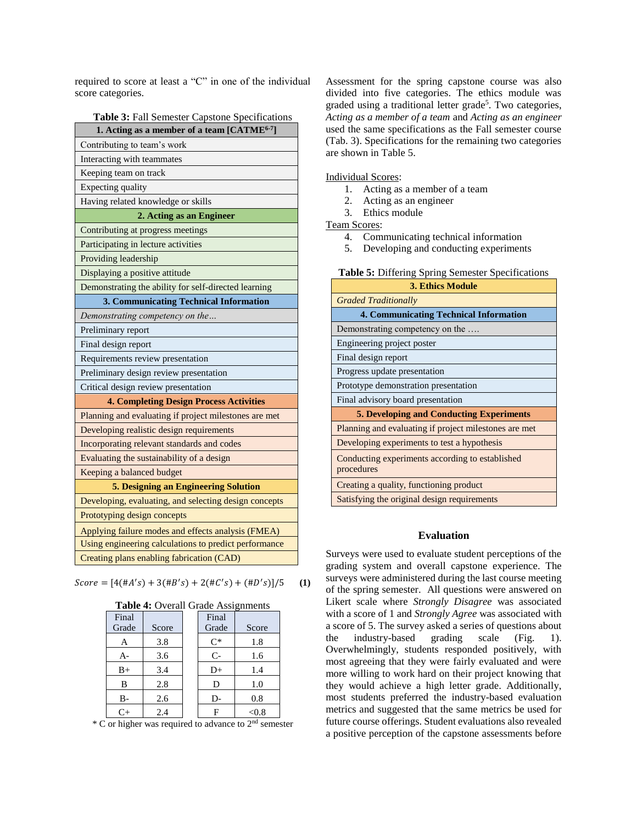required to score at least a "C" in one of the individual score categories.

**Table 3:** Fall Semester Capstone Specifications

| 1. Acting as a member of a team [CATME <sup>6-7</sup> ] |  |  |  |  |
|---------------------------------------------------------|--|--|--|--|
| Contributing to team's work                             |  |  |  |  |
| Interacting with teammates                              |  |  |  |  |
| Keeping team on track                                   |  |  |  |  |
| Expecting quality                                       |  |  |  |  |
| Having related knowledge or skills                      |  |  |  |  |
| 2. Acting as an Engineer                                |  |  |  |  |
| Contributing at progress meetings                       |  |  |  |  |
| Participating in lecture activities                     |  |  |  |  |
| Providing leadership                                    |  |  |  |  |
| Displaying a positive attitude                          |  |  |  |  |
| Demonstrating the ability for self-directed learning    |  |  |  |  |
| 3. Communicating Technical Information                  |  |  |  |  |
| Demonstrating competency on the                         |  |  |  |  |
| Preliminary report                                      |  |  |  |  |
| Final design report                                     |  |  |  |  |
| Requirements review presentation                        |  |  |  |  |
| Preliminary design review presentation                  |  |  |  |  |
| Critical design review presentation                     |  |  |  |  |
| <b>4. Completing Design Process Activities</b>          |  |  |  |  |
| Planning and evaluating if project milestones are met   |  |  |  |  |
| Developing realistic design requirements                |  |  |  |  |
| Incorporating relevant standards and codes              |  |  |  |  |
| Evaluating the sustainability of a design               |  |  |  |  |
| Keeping a balanced budget                               |  |  |  |  |
| 5. Designing an Engineering Solution                    |  |  |  |  |
| Developing, evaluating, and selecting design concepts   |  |  |  |  |
| Prototyping design concepts                             |  |  |  |  |
| Applying failure modes and effects analysis (FMEA)      |  |  |  |  |
| Using engineering calculations to predict performance   |  |  |  |  |
| Creating plans enabling fabrication (CAD)               |  |  |  |  |

 $Score = [4(\#A's) + 3(\#B's) + 2(\#C's) + (\#D's)]/5$  (1)

| <b>Table 4:</b> Overall Grade Assignments |       |  |       |       |  |  |
|-------------------------------------------|-------|--|-------|-------|--|--|
| Final                                     |       |  | Final |       |  |  |
| Grade                                     | Score |  | Grade | Score |  |  |
| A                                         | 3.8   |  | $C^*$ | 1.8   |  |  |
| A-                                        | 3.6   |  | $C-$  | 1.6   |  |  |
| $B+$                                      | 3.4   |  | D+    | 1.4   |  |  |
| B                                         | 2.8   |  | D     | 1.0   |  |  |
| B-                                        | 2.6   |  | D-    | 0.8   |  |  |
| $C_{+}$                                   | 2.4   |  |       | <0.8  |  |  |

 $*$  C or higher was required to advance to  $2<sup>nd</sup>$  semester

Assessment for the spring capstone course was also divided into five categories. The ethics module was graded using a traditional letter grade 5 . Two categories, *Acting as a member of a team* and *Acting as an engineer* used the same specifications as the Fall semester course (Tab. 3). Specifications for the remaining two categories are shown in Table 5.

Individual Scores:

- 1. Acting as a member of a team
- 2. Acting as an engineer
- 3. Ethics module

Team Scores:

- 4. Communicating technical information
- 5. Developing and conducting experiments

| <b>Table 5:</b> Differing Spring Semester Specifications |
|----------------------------------------------------------|
| 3. Ethics Module                                         |

| s. Denics mouum                                               |
|---------------------------------------------------------------|
| <b>Graded Traditionally</b>                                   |
| <b>4. Communicating Technical Information</b>                 |
| Demonstrating competency on the                               |
| Engineering project poster                                    |
| Final design report                                           |
| Progress update presentation                                  |
| Prototype demonstration presentation                          |
| Final advisory board presentation                             |
| <b>5. Developing and Conducting Experiments</b>               |
| Planning and evaluating if project milestones are met         |
| Developing experiments to test a hypothesis                   |
| Conducting experiments according to established<br>procedures |
| Creating a quality, functioning product                       |
| Satisfying the original design requirements                   |
|                                                               |

#### **Evaluation**

Surveys were used to evaluate student perceptions of the grading system and overall capstone experience. The surveys were administered during the last course meeting of the spring semester. All questions were answered on Likert scale where *Strongly Disagree* was associated with a score of 1 and *Strongly Agree* was associated with a score of 5. The survey asked a series of questions about the industry-based grading scale (Fig. 1). Overwhelmingly, students responded positively, with most agreeing that they were fairly evaluated and were more willing to work hard on their project knowing that they would achieve a high letter grade. Additionally, most students preferred the industry-based evaluation metrics and suggested that the same metrics be used for future course offerings. Student evaluations also revealed a positive perception of the capstone assessments before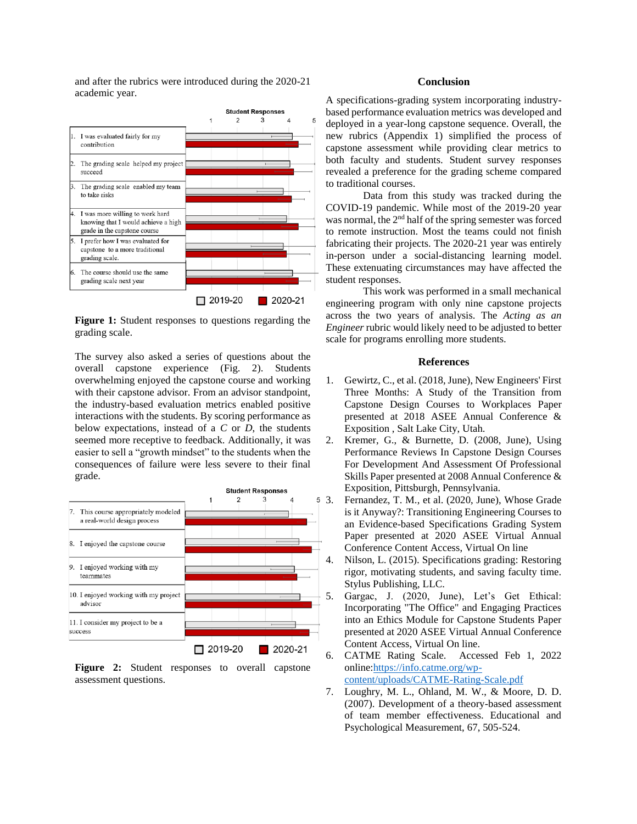and after the rubrics were introduced during the 2020-21 academic year.



**Figure 1:** Student responses to questions regarding the grading scale.

The survey also asked a series of questions about the overall capstone experience (Fig. 2). Students overwhelming enjoyed the capstone course and working with their capstone advisor. From an advisor standpoint, the industry-based evaluation metrics enabled positive interactions with the students. By scoring performance as below expectations, instead of a *C* or *D*, the students seemed more receptive to feedback. Additionally, it was easier to sell a "growth mindset" to the students when the consequences of failure were less severe to their final grade.



**Figure 2:** Student responses to overall capstone assessment questions.

#### **Conclusion**

A specifications-grading system incorporating industrybased performance evaluation metrics was developed and deployed in a year-long capstone sequence. Overall, the new rubrics (Appendix 1) simplified the process of capstone assessment while providing clear metrics to both faculty and students. Student survey responses revealed a preference for the grading scheme compared to traditional courses.

Data from this study was tracked during the COVID-19 pandemic. While most of the 2019-20 year was normal, the 2nd half of the spring semester was forced to remote instruction. Most the teams could not finish fabricating their projects. The 2020-21 year was entirely in-person under a social-distancing learning model. These extenuating circumstances may have affected the student responses.

This work was performed in a small mechanical engineering program with only nine capstone projects across the two years of analysis. The *Acting as an Engineer* rubric would likely need to be adjusted to better scale for programs enrolling more students.

#### **References**

- 1. Gewirtz, C., et al. (2018, June), New Engineers' First Three Months: A Study of the Transition from Capstone Design Courses to Workplaces Paper presented at 2018 ASEE Annual Conference & Exposition , Salt Lake City, Utah.
- 2. Kremer, G., & Burnette, D. (2008, June), Using Performance Reviews In Capstone Design Courses For Development And Assessment Of Professional Skills Paper presented at 2008 Annual Conference & Exposition, Pittsburgh, Pennsylvania.
- 3. Fernandez, T. M., et al. (2020, June), Whose Grade is it Anyway?: Transitioning Engineering Courses to an Evidence-based Specifications Grading System Paper presented at 2020 ASEE Virtual Annual Conference Content Access, Virtual On line
	- 4. Nilson, L. (2015). Specifications grading: Restoring rigor, motivating students, and saving faculty time. Stylus Publishing, LLC.
	- 5. Gargac, J. (2020, June), Let's Get Ethical: Incorporating "The Office" and Engaging Practices into an Ethics Module for Capstone Students Paper presented at 2020 ASEE Virtual Annual Conference Content Access, Virtual On line.
	- 6. CATME Rating Scale. Accessed Feb 1, 2022 online[:https://info.catme.org/wp](https://info.catme.org/wp-content/uploads/CATME-Rating-Scale.pdf)[content/uploads/CATME-Rating-Scale.pdf](https://info.catme.org/wp-content/uploads/CATME-Rating-Scale.pdf)
	- 7. Loughry, M. L., Ohland, M. W., & Moore, D. D. (2007). Development of a theory-based assessment of team member effectiveness. Educational and Psychological Measurement, 67, 505-524.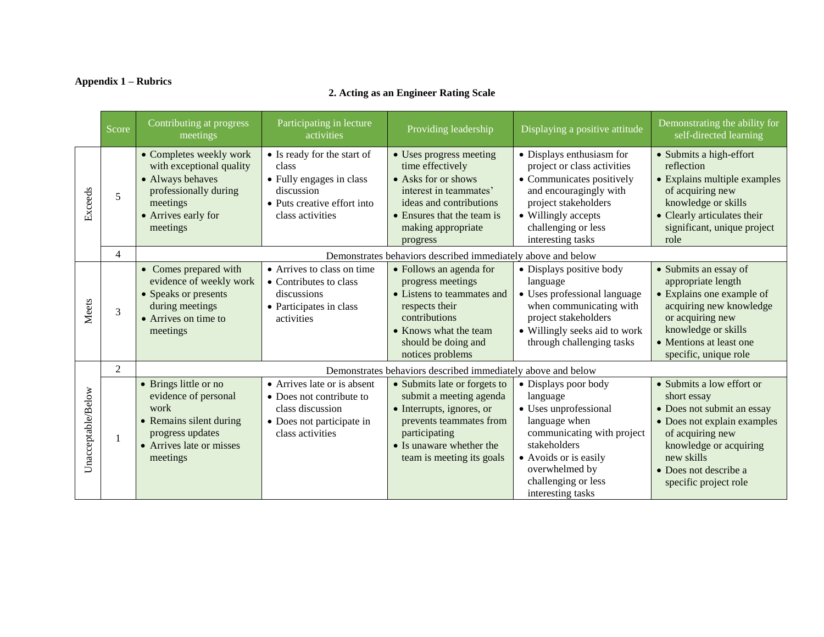### **Appendix 1 – Rubrics**

|                    | Score          | Contributing at progress<br>meetings                                                                                                            | Participating in lecture<br>activities                                                                                            | Providing leadership                                                                                                                                                                      | Displaying a positive attitude                                                                                                                                                                                  | Demonstrating the ability for<br>self-directed learning                                                                                                                                                             |
|--------------------|----------------|-------------------------------------------------------------------------------------------------------------------------------------------------|-----------------------------------------------------------------------------------------------------------------------------------|-------------------------------------------------------------------------------------------------------------------------------------------------------------------------------------------|-----------------------------------------------------------------------------------------------------------------------------------------------------------------------------------------------------------------|---------------------------------------------------------------------------------------------------------------------------------------------------------------------------------------------------------------------|
| Exceeds            | 5              | • Completes weekly work<br>with exceptional quality<br>• Always behaves<br>professionally during<br>meetings<br>• Arrives early for<br>meetings | • Is ready for the start of<br>class<br>• Fully engages in class<br>discussion<br>• Puts creative effort into<br>class activities | • Uses progress meeting<br>time effectively<br>• Asks for or shows<br>interest in teammates'<br>ideas and contributions<br>• Ensures that the team is<br>making appropriate<br>progress   | • Displays enthusiasm for<br>project or class activities<br>• Communicates positively<br>and encouragingly with<br>project stakeholders<br>• Willingly accepts<br>challenging or less<br>interesting tasks      | • Submits a high-effort<br>reflection<br>• Explains multiple examples<br>of acquiring new<br>knowledge or skills<br>• Clearly articulates their<br>significant, unique project<br>role                              |
|                    | $\overline{4}$ |                                                                                                                                                 |                                                                                                                                   | Demonstrates behaviors described immediately above and below                                                                                                                              |                                                                                                                                                                                                                 |                                                                                                                                                                                                                     |
| Meets              | 3              | • Comes prepared with<br>evidence of weekly work<br>• Speaks or presents<br>during meetings<br>• Arrives on time to<br>meetings                 | • Arrives to class on time<br>• Contributes to class<br>discussions<br>• Participates in class<br>activities                      | • Follows an agenda for<br>progress meetings<br>• Listens to teammates and<br>respects their<br>contributions<br>• Knows what the team<br>should be doing and<br>notices problems         | • Displays positive body<br>language<br>• Uses professional language<br>when communicating with<br>project stakeholders<br>• Willingly seeks aid to work<br>through challenging tasks                           | • Submits an essay of<br>appropriate length<br>• Explains one example of<br>acquiring new knowledge<br>or acquiring new<br>knowledge or skills<br>• Mentions at least one<br>specific, unique role                  |
|                    | $\overline{2}$ |                                                                                                                                                 |                                                                                                                                   | Demonstrates behaviors described immediately above and below                                                                                                                              |                                                                                                                                                                                                                 |                                                                                                                                                                                                                     |
| Unacceptable/Below |                | • Brings little or no<br>evidence of personal<br>work<br>• Remains silent during<br>progress updates<br>• Arrives late or misses<br>meetings    | • Arrives late or is absent<br>• Does not contribute to<br>class discussion<br>• Does not participate in<br>class activities      | • Submits late or forgets to<br>submit a meeting agenda<br>• Interrupts, ignores, or<br>prevents teammates from<br>participating<br>• Is unaware whether the<br>team is meeting its goals | • Displays poor body<br>language<br>• Uses unprofessional<br>language when<br>communicating with project<br>stakeholders<br>• Avoids or is easily<br>overwhelmed by<br>challenging or less<br>interesting tasks | • Submits a low effort or<br>short essay<br>• Does not submit an essay<br>• Does not explain examples<br>of acquiring new<br>knowledge or acquiring<br>new skills<br>• Does not describe a<br>specific project role |

# **2. Acting as an Engineer Rating Scale**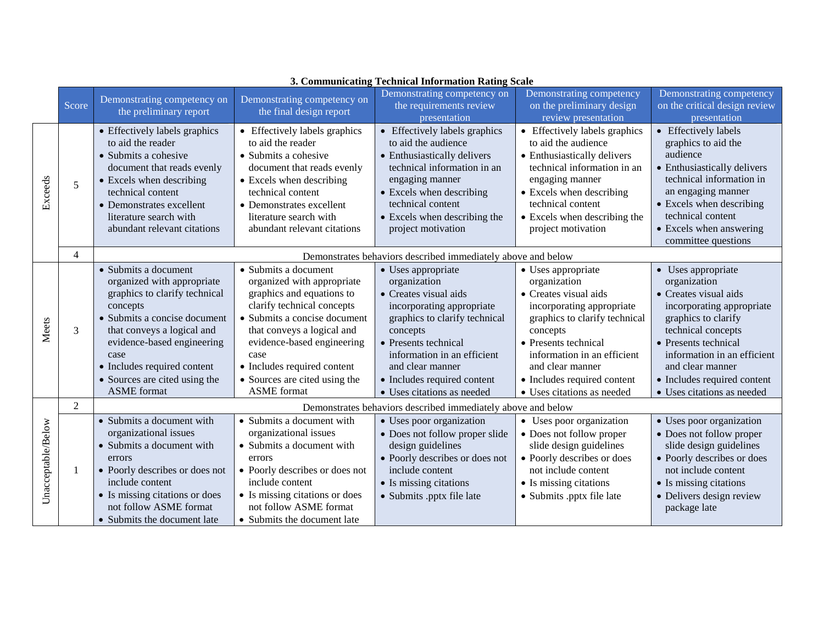|                    | Score          | Demonstrating competency on<br>the preliminary report                                                                                                                                                                                                                                     | Demonstrating competency on<br>the final design report                                                                                                                                                                                                                                                  | Demonstrating competency on<br>the requirements review<br>presentation                                                                                                                                                                                                                | Demonstrating competency<br>on the preliminary design<br>review presentation                                                                                                                                                                                                  | Demonstrating competency<br>on the critical design review<br>presentation                                                                                                                                                                                                             |
|--------------------|----------------|-------------------------------------------------------------------------------------------------------------------------------------------------------------------------------------------------------------------------------------------------------------------------------------------|---------------------------------------------------------------------------------------------------------------------------------------------------------------------------------------------------------------------------------------------------------------------------------------------------------|---------------------------------------------------------------------------------------------------------------------------------------------------------------------------------------------------------------------------------------------------------------------------------------|-------------------------------------------------------------------------------------------------------------------------------------------------------------------------------------------------------------------------------------------------------------------------------|---------------------------------------------------------------------------------------------------------------------------------------------------------------------------------------------------------------------------------------------------------------------------------------|
| Exceeds            | 5              | • Effectively labels graphics<br>to aid the reader<br>• Submits a cohesive<br>document that reads evenly<br>• Excels when describing<br>technical content<br>• Demonstrates excellent<br>literature search with<br>abundant relevant citations                                            | • Effectively labels graphics<br>to aid the reader<br>• Submits a cohesive<br>document that reads evenly<br>• Excels when describing<br>technical content<br>• Demonstrates excellent<br>literature search with<br>abundant relevant citations                                                          | • Effectively labels graphics<br>to aid the audience<br>• Enthusiastically delivers<br>technical information in an<br>engaging manner<br>• Excels when describing<br>technical content<br>• Excels when describing the<br>project motivation                                          | • Effectively labels graphics<br>to aid the audience<br>• Enthusiastically delivers<br>technical information in an<br>engaging manner<br>• Excels when describing<br>technical content<br>• Excels when describing the<br>project motivation                                  | • Effectively labels<br>graphics to aid the<br>audience<br>• Enthusiastically delivers<br>technical information in<br>an engaging manner<br>• Excels when describing<br>technical content<br>• Excels when answering<br>committee questions                                           |
|                    | $\overline{4}$ |                                                                                                                                                                                                                                                                                           |                                                                                                                                                                                                                                                                                                         | Demonstrates behaviors described immediately above and below                                                                                                                                                                                                                          |                                                                                                                                                                                                                                                                               |                                                                                                                                                                                                                                                                                       |
| Meets              | $\overline{3}$ | • Submits a document<br>organized with appropriate<br>graphics to clarify technical<br>concepts<br>• Submits a concise document<br>that conveys a logical and<br>evidence-based engineering<br>case<br>• Includes required content<br>• Sources are cited using the<br><b>ASME</b> format | • Submits a document<br>organized with appropriate<br>graphics and equations to<br>clarify technical concepts<br>• Submits a concise document<br>that conveys a logical and<br>evidence-based engineering<br>case<br>• Includes required content<br>• Sources are cited using the<br><b>ASME</b> format | • Uses appropriate<br>organization<br>$\bullet$ Creates visual aids<br>incorporating appropriate<br>graphics to clarify technical<br>concepts<br>• Presents technical<br>information in an efficient<br>and clear manner<br>• Includes required content<br>• Uses citations as needed | • Uses appropriate<br>organization<br>• Creates visual aids<br>incorporating appropriate<br>graphics to clarify technical<br>concepts<br>• Presents technical<br>information in an efficient<br>and clear manner<br>• Includes required content<br>• Uses citations as needed | • Uses appropriate<br>organization<br>$\bullet$ Creates visual aids<br>incorporating appropriate<br>graphics to clarify<br>technical concepts<br>• Presents technical<br>information in an efficient<br>and clear manner<br>• Includes required content<br>• Uses citations as needed |
|                    | 2              | Demonstrates behaviors described immediately above and below                                                                                                                                                                                                                              |                                                                                                                                                                                                                                                                                                         |                                                                                                                                                                                                                                                                                       |                                                                                                                                                                                                                                                                               |                                                                                                                                                                                                                                                                                       |
| Unacceptable/Below | -1             | • Submits a document with<br>organizational issues<br>• Submits a document with<br>errors<br>• Poorly describes or does not<br>include content<br>• Is missing citations or does<br>not follow ASME format<br>• Submits the document late                                                 | • Submits a document with<br>organizational issues<br>• Submits a document with<br>errors<br>• Poorly describes or does not<br>include content<br>• Is missing citations or does<br>not follow ASME format<br>• Submits the document late                                                               | • Uses poor organization<br>• Does not follow proper slide<br>design guidelines<br>• Poorly describes or does not<br>include content<br>• Is missing citations<br>• Submits .pptx file late                                                                                           | • Uses poor organization<br>• Does not follow proper<br>slide design guidelines<br>• Poorly describes or does<br>not include content<br>• Is missing citations<br>• Submits .pptx file late                                                                                   | • Uses poor organization<br>• Does not follow proper<br>slide design guidelines<br>• Poorly describes or does<br>not include content<br>• Is missing citations<br>• Delivers design review<br>package late                                                                            |

### **3. Communicating Technical Information Rating Scale**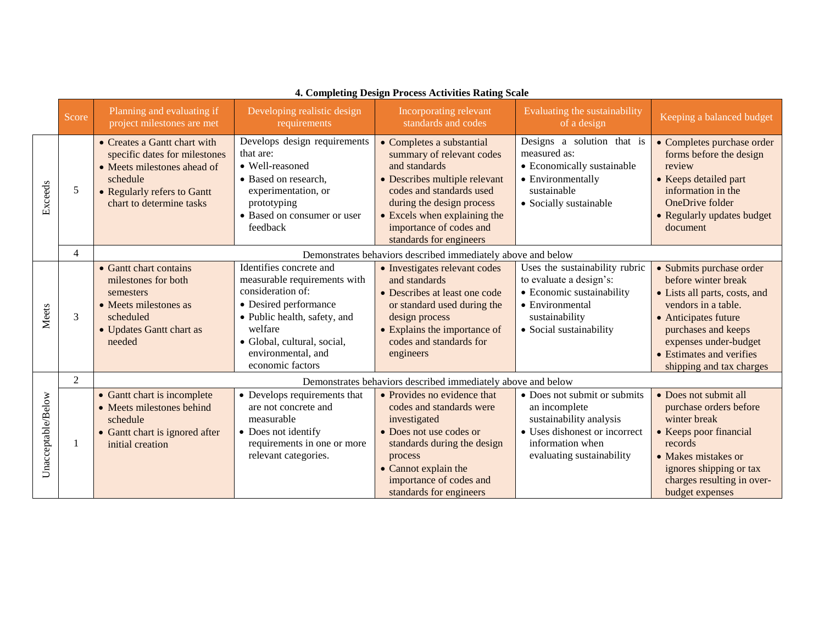|                    | Score          | Planning and evaluating if<br>project milestones are met                                                                                                            | Developing realistic design<br>requirements                                                                                                                                                                               | Incorporating relevant<br>standards and codes                                                                                                                                                                                                           | Evaluating the sustainability<br>of a design                                                                                                               | Keeping a balanced budget                                                                                                                                                                                                               |
|--------------------|----------------|---------------------------------------------------------------------------------------------------------------------------------------------------------------------|---------------------------------------------------------------------------------------------------------------------------------------------------------------------------------------------------------------------------|---------------------------------------------------------------------------------------------------------------------------------------------------------------------------------------------------------------------------------------------------------|------------------------------------------------------------------------------------------------------------------------------------------------------------|-----------------------------------------------------------------------------------------------------------------------------------------------------------------------------------------------------------------------------------------|
| Exceeds            | 5              | • Creates a Gantt chart with<br>specific dates for milestones<br>• Meets milestones ahead of<br>schedule<br>• Regularly refers to Gantt<br>chart to determine tasks | Develops design requirements<br>that are:<br>• Well-reasoned<br>• Based on research.<br>experimentation, or<br>prototyping<br>• Based on consumer or user<br>feedback                                                     | • Completes a substantial<br>summary of relevant codes<br>and standards<br>• Describes multiple relevant<br>codes and standards used<br>during the design process<br>• Excels when explaining the<br>importance of codes and<br>standards for engineers | Designs a solution that is<br>measured as:<br>• Economically sustainable<br>• Environmentally<br>sustainable<br>• Socially sustainable                     | • Completes purchase order<br>forms before the design<br>review<br>• Keeps detailed part<br>information in the<br>OneDrive folder<br>• Regularly updates budget<br>document                                                             |
|                    | $\overline{4}$ |                                                                                                                                                                     |                                                                                                                                                                                                                           | Demonstrates behaviors described immediately above and below                                                                                                                                                                                            |                                                                                                                                                            |                                                                                                                                                                                                                                         |
| Meets              | 3              | • Gantt chart contains<br>milestones for both<br>semesters<br>• Meets milestones as<br>scheduled<br>• Updates Gantt chart as<br>needed                              | Identifies concrete and<br>measurable requirements with<br>consideration of:<br>• Desired performance<br>• Public health, safety, and<br>welfare<br>• Global, cultural, social,<br>environmental, and<br>economic factors | • Investigates relevant codes<br>and standards<br>• Describes at least one code<br>or standard used during the<br>design process<br>• Explains the importance of<br>codes and standards for<br>engineers                                                | Uses the sustainability rubric<br>to evaluate a design's:<br>• Economic sustainability<br>• Environmental<br>sustainability<br>• Social sustainability     | • Submits purchase order<br>before winter break<br>• Lists all parts, costs, and<br>vendors in a table.<br>• Anticipates future<br>purchases and keeps<br>expenses under-budget<br>• Estimates and verifies<br>shipping and tax charges |
|                    | $\overline{2}$ |                                                                                                                                                                     |                                                                                                                                                                                                                           | Demonstrates behaviors described immediately above and below                                                                                                                                                                                            |                                                                                                                                                            |                                                                                                                                                                                                                                         |
| Unacceptable/Below | 1              | • Gantt chart is incomplete<br>• Meets milestones behind<br>schedule<br>• Gantt chart is ignored after<br>initial creation                                          | • Develops requirements that<br>are not concrete and<br>measurable<br>• Does not identify<br>requirements in one or more<br>relevant categories.                                                                          | • Provides no evidence that<br>codes and standards were<br>investigated<br>• Does not use codes or<br>standards during the design<br>process<br>• Cannot explain the<br>importance of codes and<br>standards for engineers                              | • Does not submit or submits<br>an incomplete<br>sustainability analysis<br>• Uses dishonest or incorrect<br>information when<br>evaluating sustainability | • Does not submit all<br>purchase orders before<br>winter break<br>• Keeps poor financial<br>records<br>• Makes mistakes or<br>ignores shipping or tax<br>charges resulting in over-<br>budget expenses                                 |

# **4. Completing Design Process Activities Rating Scale**